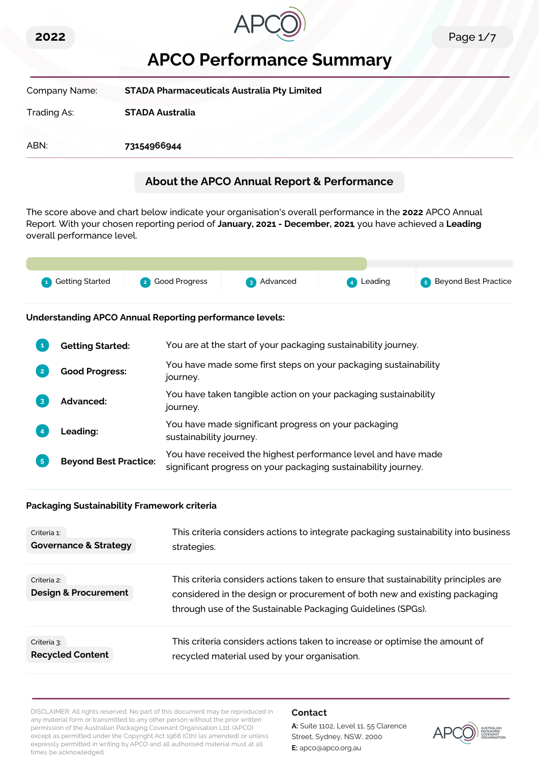



# **APCO Performance Summary**

| Company Name: | <b>STADA Pharmaceuticals Australia Pty Limited</b> |
|---------------|----------------------------------------------------|
| Trading As:   | <b>STADA Australia</b>                             |
| ABN:          | 73154966944                                        |

# **About the APCO Annual Report & Performance**

The score above and chart below indicate your organisation's overall performance in the **2022** APCO Annual Report. With your chosen reporting period of **January, 2021 - December, 2021**, you have achieved a **Leading** overall performance level.



#### **Understanding APCO Annual Reporting performance levels:**

|                | <b>Getting Started:</b>      | You are at the start of your packaging sustainability journey.                                                                  |
|----------------|------------------------------|---------------------------------------------------------------------------------------------------------------------------------|
| $\overline{2}$ | <b>Good Progress:</b>        | You have made some first steps on your packaging sustainability<br>journey.                                                     |
| 3              | <b>Advanced:</b>             | You have taken tangible action on your packaging sustainability<br>journey.                                                     |
|                | Leading:                     | You have made significant progress on your packaging<br>sustainability journey.                                                 |
| 5              | <b>Beyond Best Practice:</b> | You have received the highest performance level and have made<br>significant progress on your packaging sustainability journey. |

#### **Packaging Sustainability Framework criteria**

| Criteria 1:                                    | This criteria considers actions to integrate packaging sustainability into business                                                                                                                                             |
|------------------------------------------------|---------------------------------------------------------------------------------------------------------------------------------------------------------------------------------------------------------------------------------|
| <b>Governance &amp; Strategy</b>               | strategies.                                                                                                                                                                                                                     |
| Criteria 2:<br><b>Design &amp; Procurement</b> | This criteria considers actions taken to ensure that sustainability principles are<br>considered in the design or procurement of both new and existing packaging<br>through use of the Sustainable Packaging Guidelines (SPGs). |
| Criteria 3:                                    | This criteria considers actions taken to increase or optimise the amount of                                                                                                                                                     |
| <b>Recycled Content</b>                        | recycled material used by your organisation.                                                                                                                                                                                    |

DISCLAIMER: All rights reserved. No part of this document may be reproduced in any material form or transmitted to any other person without the prior written permission of the Australian Packaging Covenant Organisation Ltd. (APCO) except as permitted under the Copyright Act 1968 (Cth) (as amended) or unless expressly permitted in writing by APCO and all authorised material must at all times be acknowledged.

#### **Contact**

**A:** Suite 1102, Level 11, 55 Clarence Street, Sydney, NSW, 2000 **E:** apco@apco.org.au

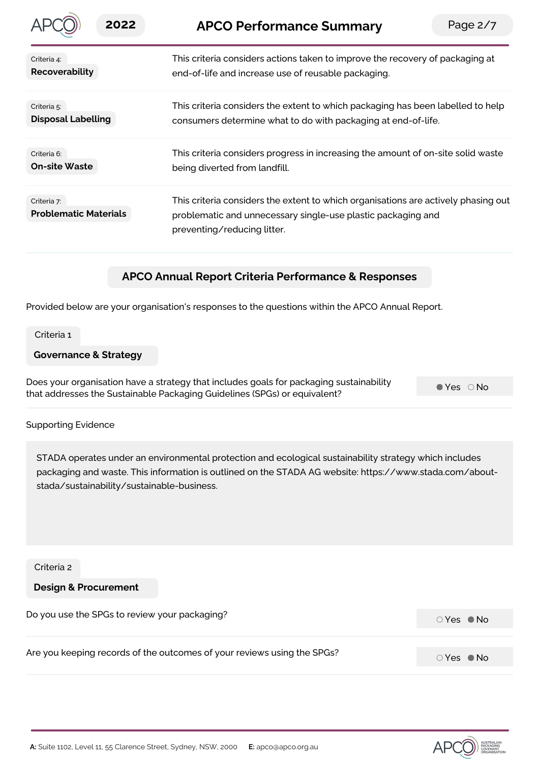| 2022                                        | Page $2/7$<br><b>APCO Performance Summary</b>                                                                                                                                     |
|---------------------------------------------|-----------------------------------------------------------------------------------------------------------------------------------------------------------------------------------|
| Criteria 4:                                 | This criteria considers actions taken to improve the recovery of packaging at                                                                                                     |
| Recoverability                              | end-of-life and increase use of reusable packaging.                                                                                                                               |
| Criteria 5:                                 | This criteria considers the extent to which packaging has been labelled to help                                                                                                   |
| <b>Disposal Labelling</b>                   | consumers determine what to do with packaging at end-of-life.                                                                                                                     |
| Criteria 6:                                 | This criteria considers progress in increasing the amount of on-site solid waste                                                                                                  |
| <b>On-site Waste</b>                        | being diverted from landfill.                                                                                                                                                     |
| Criteria 7:<br><b>Problematic Materials</b> | This criteria considers the extent to which organisations are actively phasing out<br>problematic and unnecessary single-use plastic packaging and<br>preventing/reducing litter. |
|                                             |                                                                                                                                                                                   |

## **APCO Annual Report Criteria Performance & Responses**

Provided below are your organisation's responses to the questions within the APCO Annual Report.

Criteria 1

#### **Governance & Strategy**

Does your organisation have a strategy that includes goals for packaging sustainability that addresses the Sustainable Packaging Guidelines (SPGs) or equivalent?

 $Yes$   $\bigcirc$  No

#### Supporting Evidence

STADA operates under an environmental protection and ecological sustainability strategy which includes packaging and waste. This information is outlined on the STADA AG website: https://www.stada.com/aboutstada/sustainability/sustainable-business.

Criteria 2

**Design & Procurement**

Do you use the SPGs to review your packaging?<br>
Do you use the SPGs to review your packaging? Are you keeping records of the outcomes of your reviews using the SPGs?

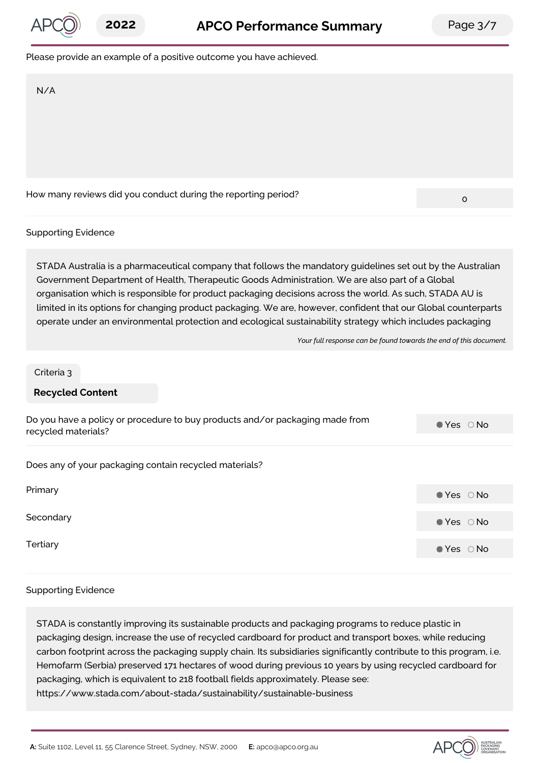

#### Please provide an example of a positive outcome you have achieved.

N/A

How many reviews did you conduct during the reporting period?<br>0

#### Supporting Evidence

STADA Australia is a pharmaceutical company that follows the mandatory guidelines set out by the Australian Government Department of Health, Therapeutic Goods Administration. We are also part of a Global organisation which is responsible for product packaging decisions across the world. As such, STADA AU is limited in its options for changing product packaging. We are, however, confident that our Global counterparts operate under an environmental protection and ecological sustainability strategy which includes packaging

*Your full response can be found towards the end of this document.*

#### Criteria 3

#### **Recycled Content**

| Do you have a policy or procedure to buy products and/or packaging made from<br>recycled materials? | $\bullet$ Yes $\circ$ No |
|-----------------------------------------------------------------------------------------------------|--------------------------|
| Does any of your packaging contain recycled materials?                                              |                          |
| Primary                                                                                             | $\bullet$ Yes $\circ$ No |
| Secondary                                                                                           | $\bullet$ Yes $\circ$ No |
| Tertiary                                                                                            | $\bullet$ Yes $\circ$ No |

#### Supporting Evidence

STADA is constantly improving its sustainable products and packaging programs to reduce plastic in packaging design, increase the use of recycled cardboard for product and transport boxes, while reducing carbon footprint across the packaging supply chain. Its subsidiaries significantly contribute to this program, i.e. Hemofarm (Serbia) preserved 171 hectares of wood during previous 10 years by using recycled cardboard for packaging, which is equivalent to 218 football fields approximately. Please see: https://www.stada.com/about-stada/sustainability/sustainable-business

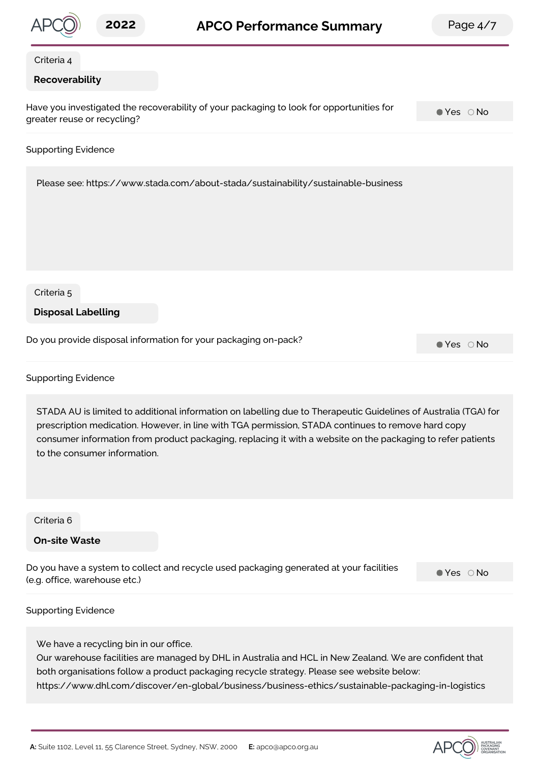

https://www.dhl.com/discover/en-global/business/business-ethics/sustainable-packaging-in-logistics

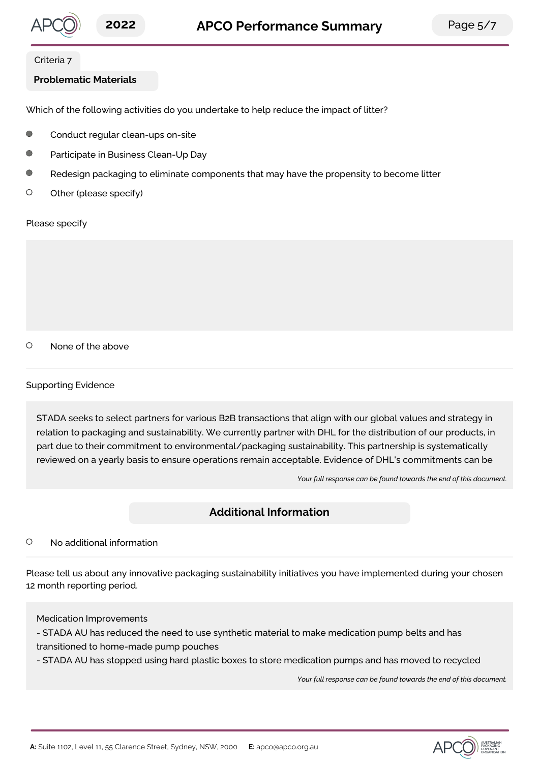

#### Criteria 7

### **Problematic Materials**

Which of the following activities do you undertake to help reduce the impact of litter?

- Conduct regular clean-ups on-site
- $\bigcap$ Participate in Business Clean-Up Day
- $\bigcap$ Redesign packaging to eliminate components that may have the propensity to become litter
- $\circ$ Other (please specify)

Please specify

 $\circ$ None of the above

#### Supporting Evidence

STADA seeks to select partners for various B2B transactions that align with our global values and strategy in relation to packaging and sustainability. We currently partner with DHL for the distribution of our products, in part due to their commitment to environmental/packaging sustainability. This partnership is systematically reviewed on a yearly basis to ensure operations remain acceptable. Evidence of DHL's commitments can be

*Your full response can be found towards the end of this document.*

# **Additional Information**

#### $\circ$ No additional information

Please tell us about any innovative packaging sustainability initiatives you have implemented during your chosen 12 month reporting period.

#### Medication Improvements

- STADA AU has reduced the need to use synthetic material to make medication pump belts and has transitioned to home-made pump pouches

- STADA AU has stopped using hard plastic boxes to store medication pumps and has moved to recycled

*Your full response can be found towards the end of this document.*

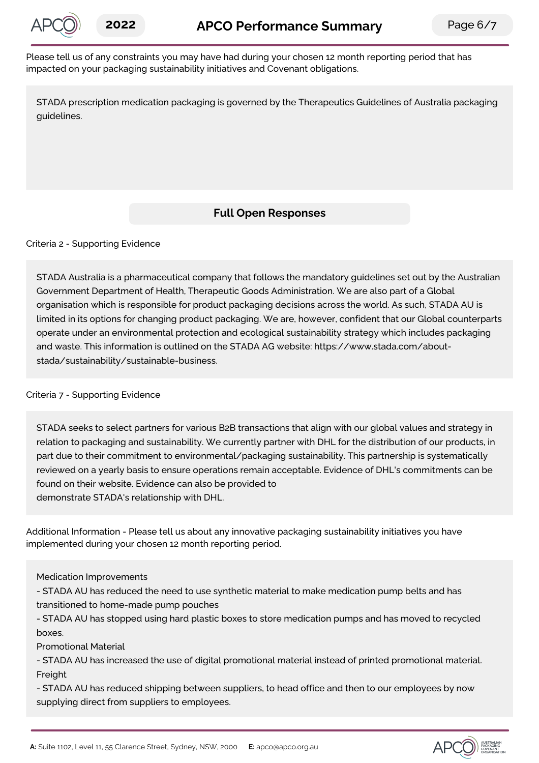

Please tell us of any constraints you may have had during your chosen 12 month reporting period that has impacted on your packaging sustainability initiatives and Covenant obligations.

STADA prescription medication packaging is governed by the Therapeutics Guidelines of Australia packaging guidelines.

# **Full Open Responses**

Criteria 2 - Supporting Evidence

STADA Australia is a pharmaceutical company that follows the mandatory guidelines set out by the Australian Government Department of Health, Therapeutic Goods Administration. We are also part of a Global organisation which is responsible for product packaging decisions across the world. As such, STADA AU is limited in its options for changing product packaging. We are, however, confident that our Global counterparts operate under an environmental protection and ecological sustainability strategy which includes packaging and waste. This information is outlined on the STADA AG website: https://www.stada.com/aboutstada/sustainability/sustainable-business.

#### Criteria 7 - Supporting Evidence

STADA seeks to select partners for various B2B transactions that align with our global values and strategy in relation to packaging and sustainability. We currently partner with DHL for the distribution of our products, in part due to their commitment to environmental/packaging sustainability. This partnership is systematically reviewed on a yearly basis to ensure operations remain acceptable. Evidence of DHL's commitments can be found on their website. Evidence can also be provided to demonstrate STADA's relationship with DHL.

Additional Information - Please tell us about any innovative packaging sustainability initiatives you have implemented during your chosen 12 month reporting period.

Medication Improvements

- STADA AU has reduced the need to use synthetic material to make medication pump belts and has transitioned to home-made pump pouches

- STADA AU has stopped using hard plastic boxes to store medication pumps and has moved to recycled boxes.

Promotional Material

- STADA AU has increased the use of digital promotional material instead of printed promotional material. **Freight** 

- STADA AU has reduced shipping between suppliers, to head office and then to our employees by now supplying direct from suppliers to employees.